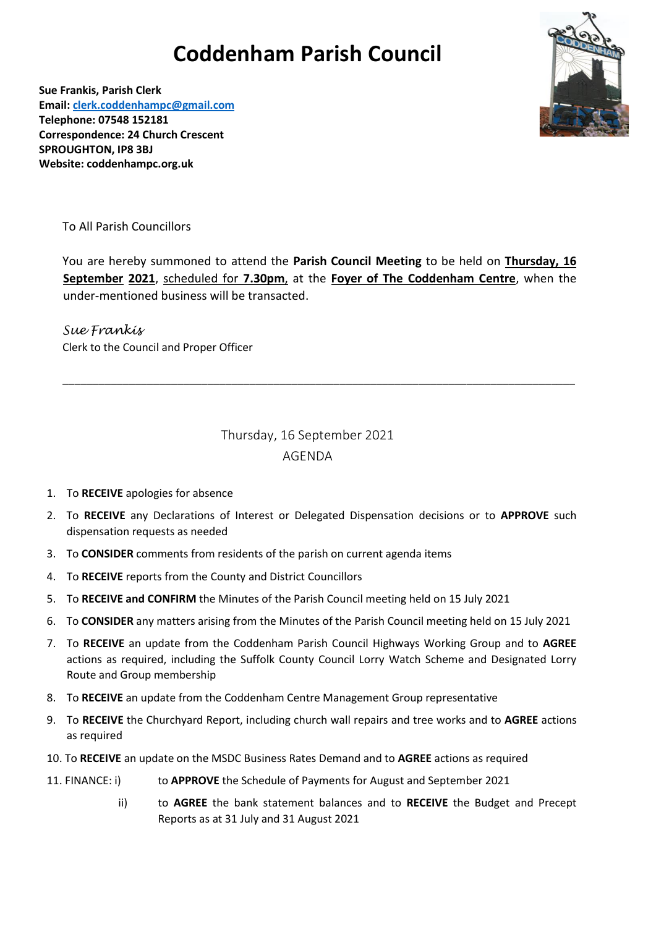## **Coddenham Parish Council**



**Sue Frankis, Parish Clerk Email: [clerk.coddenhampc@gmail.com](mailto:clerk.coddenhampc@gmail.com) Telephone: 07548 152181 Correspondence: 24 Church Crescent SPROUGHTON, IP8 3BJ Website: coddenhampc.org.uk**

To All Parish Councillors

You are hereby summoned to attend the **Parish Council Meeting** to be held on **Thursday, 16 September 2021**, scheduled for **7.30pm**, at the **Foyer of The Coddenham Centre**, when the under-mentioned business will be transacted.

*Sue Frankis* Clerk to the Council and Proper Officer

> Thursday, 16 September 2021 AGENDA

\_\_\_\_\_\_\_\_\_\_\_\_\_\_\_\_\_\_\_\_\_\_\_\_\_\_\_\_\_\_\_\_\_\_\_\_\_\_\_\_\_\_\_\_\_\_\_\_\_\_\_\_\_\_\_\_\_\_\_\_\_\_\_\_\_\_\_\_\_\_\_\_\_\_\_\_\_\_\_\_\_\_\_\_\_

- 1. To **RECEIVE** apologies for absence
- 2. To **RECEIVE** any Declarations of Interest or Delegated Dispensation decisions or to **APPROVE** such dispensation requests as needed
- 3. To **CONSIDER** comments from residents of the parish on current agenda items
- 4. To **RECEIVE** reports from the County and District Councillors
- 5. To **RECEIVE and CONFIRM** the Minutes of the Parish Council meeting held on 15 July 2021
- 6. To **CONSIDER** any matters arising from the Minutes of the Parish Council meeting held on 15 July 2021
- 7. To **RECEIVE** an update from the Coddenham Parish Council Highways Working Group and to **AGREE**  actions as required, including the Suffolk County Council Lorry Watch Scheme and Designated Lorry Route and Group membership
- 8. To **RECEIVE** an update from the Coddenham Centre Management Group representative
- 9. To **RECEIVE** the Churchyard Report, including church wall repairs and tree works and to **AGREE** actions as required
- 10. To **RECEIVE** an update on the MSDC Business Rates Demand and to **AGREE** actions as required
- 11. FINANCE: i) to **APPROVE** the Schedule of Payments for August and September 2021
	- ii) to **AGREE** the bank statement balances and to **RECEIVE** the Budget and Precept Reports as at 31 July and 31 August 2021